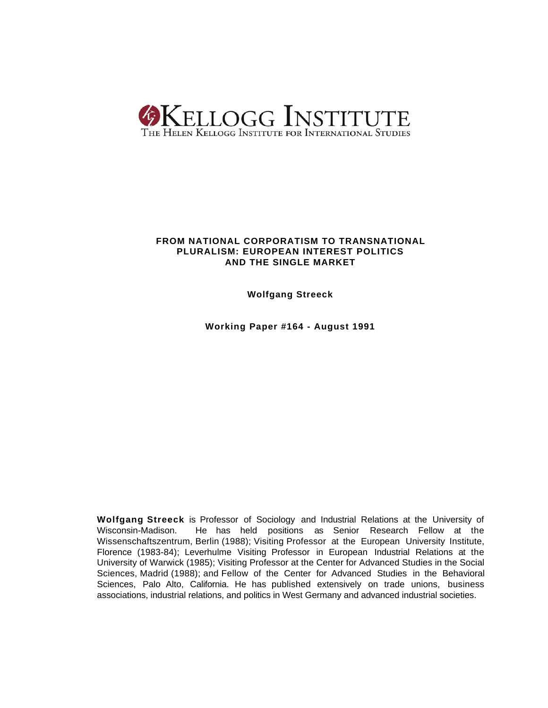

# **FROM NATIONAL CORPORATISM TO TRANSNATIONAL PLURALISM: EUROPEAN INTEREST POLITICS AND THE SINGLE MARKET**

**Wolfgang Streeck**

**Working Paper #164 - August 1991**

**Wolfgang Streeck** is Professor of Sociology and Industrial Relations at the University of Wisconsin-Madison. He has held positions as Senior Research Fellow at the Wissenschaftszentrum, Berlin (1988); Visiting Professor at the European University Institute, Florence (1983-84); Leverhulme Visiting Professor in European Industrial Relations at the University of Warwick (1985); Visiting Professor at the Center for Advanced Studies in the Social Sciences, Madrid (1988); and Fellow of the Center for Advanced Studies in the Behavioral Sciences, Palo Alto, California. He has published extensively on trade unions, business associations, industrial relations, and politics in West Germany and advanced industrial societies.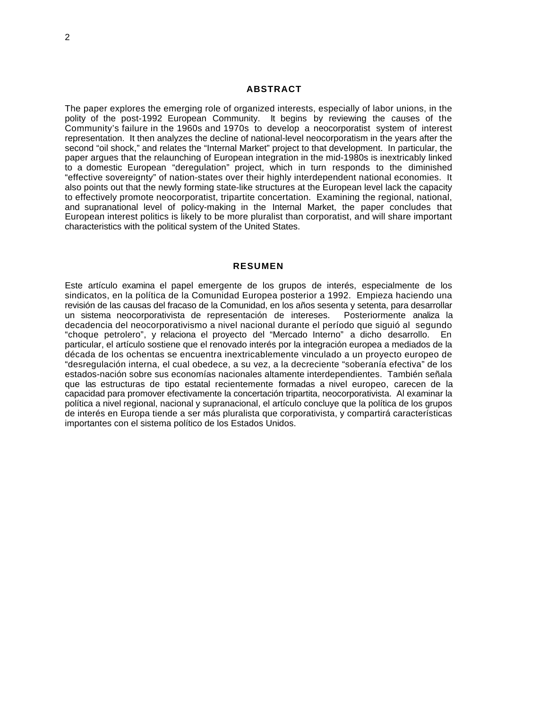The paper explores the emerging role of organized interests, especially of labor unions, in the polity of the post-1992 European Community. It begins by reviewing the causes of the Community's failure in the 1960s and 1970s to develop a neocorporatist system of interest representation. It then analyzes the decline of national-level neocorporatism in the years after the second "oil shock," and relates the "Internal Market" project to that development. In particular, the paper argues that the relaunching of European integration in the mid-1980s is inextricably linked to a domestic European "deregulation" project, which in turn responds to the diminished "effective sovereignty" of nation-states over their highly interdependent national economies. It also points out that the newly forming state-like structures at the European level lack the capacity to effectively promote neocorporatist, tripartite concertation. Examining the regional, national, and supranational level of policy-making in the Internal Market, the paper concludes that European interest politics is likely to be more pluralist than corporatist, and will share important characteristics with the political system of the United States.

## **RESUMEN**

Este artículo examina el papel emergente de los grupos de interés, especialmente de los sindicatos, en la política de la Comunidad Europea posterior a 1992. Empieza haciendo una revisión de las causas del fracaso de la Comunidad, en los años sesenta y setenta, para desarrollar un sistema neocorporativista de representación de intereses. Posteriormente analiza la decadencia del neocorporativismo a nivel nacional durante el período que siguió al segundo "choque petrolero", y relaciona el proyecto del "Mercado Interno" a dicho desarrollo. En particular, el artículo sostiene que el renovado interés por la integración europea a mediados de la década de los ochentas se encuentra inextricablemente vinculado a un proyecto europeo de "desregulación interna, el cual obedece, a su vez, a la decreciente "soberanía efectiva" de los estados-nación sobre sus economías nacionales altamente interdependientes. También señala que las estructuras de tipo estatal recientemente formadas a nivel europeo, carecen de la capacidad para promover efectivamente la concertación tripartita, neocorporativista. Al examinar la política a nivel regional, nacional y supranacional, el artículo concluye que la política de los grupos de interés en Europa tiende a ser más pluralista que corporativista, y compartirá características importantes con el sistema político de los Estados Unidos.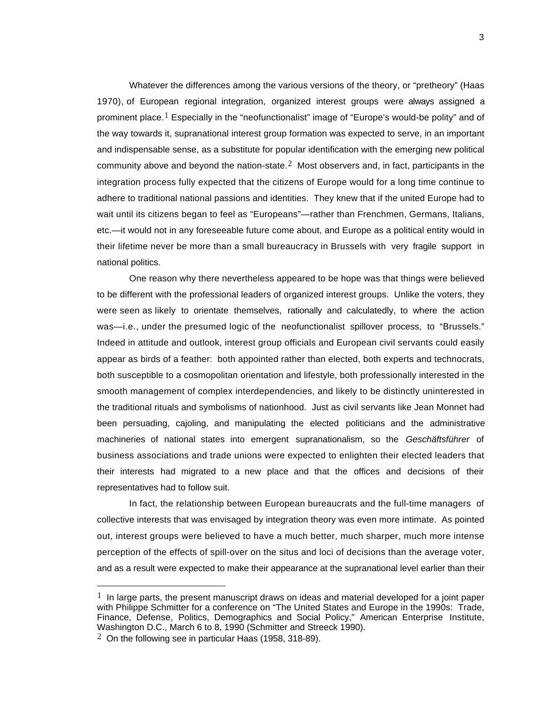Whatever the differences among the various versions of the theory, or "pretheory" (Haas 1970), of European regional integration, organized interest groups were always assigned a prominent place.<sup>1</sup> Especially in the "neofunctionalist" image of "Europe's would-be polity" and of the way towards it, supranational interest group formation was expected to serve, in an important and indispensable sense, as a substitute for popular identification with the emerging new political community above and beyond the nation-state. $^2$  Most observers and, in fact, participants in the integration process fully expected that the citizens of Europe would for a long time continue to adhere to traditional national passions and identities. They knew that if the united Europe had to wait until its citizens began to feel as "Europeans"—rather than Frenchmen, Germans, Italians, etc.—it would not in any foreseeable future come about, and Europe as a political entity would in their lifetime never be more than a small bureaucracy in Brussels with very fragile support in national politics.

One reason why there nevertheless appeared to be hope was that things were believed to be different with the professional leaders of organized interest groups. Unlike the voters, they were seen as likely to orientate themselves, rationally and calculatedly, to where the action was—i.e., under the presumed logic of the neofunctionalist spillover process, to "Brussels." Indeed in attitude and outlook, interest group officials and European civil servants could easily appear as birds of a feather: both appointed rather than elected, both experts and technocrats, both susceptible to a cosmopolitan orientation and lifestyle, both professionally interested in the smooth management of complex interdependencies, and likely to be distinctly uninterested in the traditional rituals and symbolisms of nationhood. Just as civil servants like Jean Monnet had been persuading, cajoling, and manipulating the elected politicians and the administrative machineries of national states into emergent supranationalism, so the *Geschäftsführer* of business associations and trade unions were expected to enlighten their elected leaders that their interests had migrated to a new place and that the offices and decisions of their representatives had to follow suit.

In fact, the relationship between European bureaucrats and the full-time managers of collective interests that was envisaged by integration theory was even more intimate. As pointed out, interest groups were believed to have a much better, much sharper, much more intense perception of the effects of spill-over on the situs and loci of decisions than the average voter, and as a result were expected to make their appearance at the supranational level earlier than their

i.

 $<sup>1</sup>$  In large parts, the present manuscript draws on ideas and material developed for a joint paper</sup> with Philippe Schmitter for a conference on "The United States and Europe in the 1990s: Trade, Finance, Defense, Politics, Demographics and Social Policy," American Enterprise Institute, Washington D.C., March 6 to 8, 1990 (Schmitter and Streeck 1990).

 $2$  On the following see in particular Haas (1958, 318-89).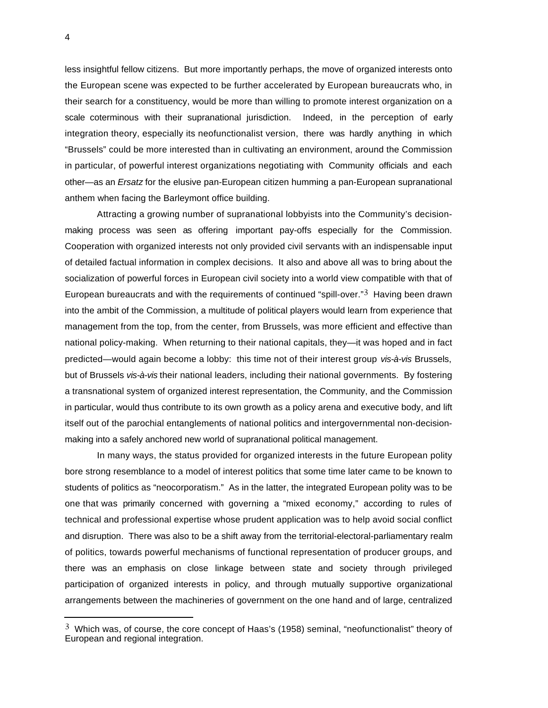less insightful fellow citizens. But more importantly perhaps, the move of organized interests onto the European scene was expected to be further accelerated by European bureaucrats who, in their search for a constituency, would be more than willing to promote interest organization on a scale coterminous with their supranational jurisdiction. Indeed, in the perception of early integration theory, especially its neofunctionalist version, there was hardly anything in which "Brussels" could be more interested than in cultivating an environment, around the Commission in particular, of powerful interest organizations negotiating with Community officials and each other—as an *Ersatz* for the elusive pan-European citizen humming a pan-European supranational anthem when facing the Barleymont office building.

Attracting a growing number of supranational lobbyists into the Community's decisionmaking process was seen as offering important pay-offs especially for the Commission. Cooperation with organized interests not only provided civil servants with an indispensable input of detailed factual information in complex decisions. It also and above all was to bring about the socialization of powerful forces in European civil society into a world view compatible with that of European bureaucrats and with the requirements of continued "spill-over." $3$  Having been drawn into the ambit of the Commission, a multitude of political players would learn from experience that management from the top, from the center, from Brussels, was more efficient and effective than national policy-making. When returning to their national capitals, they—it was hoped and in fact predicted—would again become a lobby: this time not of their interest group *vis-à-vis* Brussels, but of Brussels *vis-à-vis* their national leaders, including their national governments. By fostering a transnational system of organized interest representation, the Community, and the Commission in particular, would thus contribute to its own growth as a policy arena and executive body, and lift itself out of the parochial entanglements of national politics and intergovernmental non-decisionmaking into a safely anchored new world of supranational political management.

In many ways, the status provided for organized interests in the future European polity bore strong resemblance to a model of interest politics that some time later came to be known to students of politics as "neocorporatism." As in the latter, the integrated European polity was to be one that was primarily concerned with governing a "mixed economy," according to rules of technical and professional expertise whose prudent application was to help avoid social conflict and disruption. There was also to be a shift away from the territorial-electoral-parliamentary realm of politics, towards powerful mechanisms of functional representation of producer groups, and there was an emphasis on close linkage between state and society through privileged participation of organized interests in policy, and through mutually supportive organizational arrangements between the machineries of government on the one hand and of large, centralized

 $3$  Which was, of course, the core concept of Haas's (1958) seminal, "neofunctionalist" theory of European and regional integration.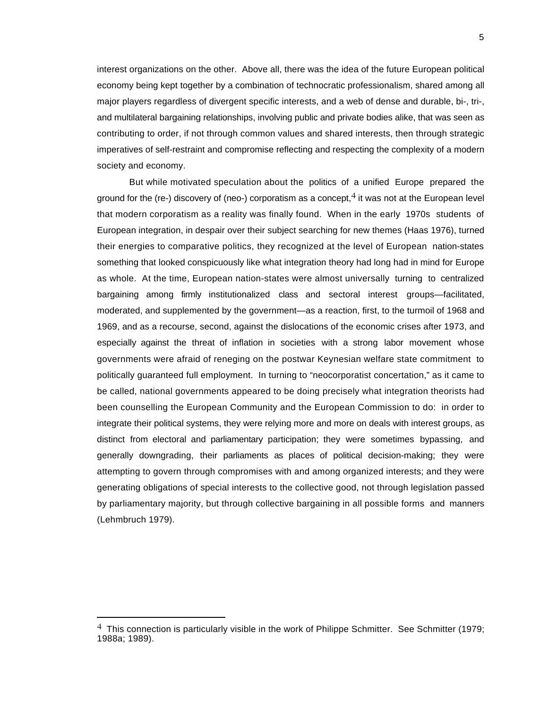interest organizations on the other. Above all, there was the idea of the future European political economy being kept together by a combination of technocratic professionalism, shared among all major players regardless of divergent specific interests, and a web of dense and durable, bi-, tri-, and multilateral bargaining relationships, involving public and private bodies alike, that was seen as contributing to order, if not through common values and shared interests, then through strategic imperatives of self-restraint and compromise reflecting and respecting the complexity of a modern society and economy.

But while motivated speculation about the politics of a unified Europe prepared the ground for the (re-) discovery of (neo-) corporatism as a concept,  $4$  it was not at the European level that modern corporatism as a reality was finally found. When in the early 1970s students of European integration, in despair over their subject searching for new themes (Haas 1976), turned their energies to comparative politics, they recognized at the level of European nation-states something that looked conspicuously like what integration theory had long had in mind for Europe as whole. At the time, European nation-states were almost universally turning to centralized bargaining among firmly institutionalized class and sectoral interest groups—facilitated, moderated, and supplemented by the government—as a reaction, first, to the turmoil of 1968 and 1969, and as a recourse, second, against the dislocations of the economic crises after 1973, and especially against the threat of inflation in societies with a strong labor movement whose governments were afraid of reneging on the postwar Keynesian welfare state commitment to politically guaranteed full employment. In turning to "neocorporatist concertation," as it came to be called, national governments appeared to be doing precisely what integration theorists had been counselling the European Community and the European Commission to do: in order to integrate their political systems, they were relying more and more on deals with interest groups, as distinct from electoral and parliamentary participation; they were sometimes bypassing, and generally downgrading, their parliaments as places of political decision-making; they were attempting to govern through compromises with and among organized interests; and they were generating obligations of special interests to the collective good, not through legislation passed by parliamentary majority, but through collective bargaining in all possible forms and manners (Lehmbruch 1979).

 $4$  This connection is particularly visible in the work of Philippe Schmitter. See Schmitter (1979; 1988a; 1989).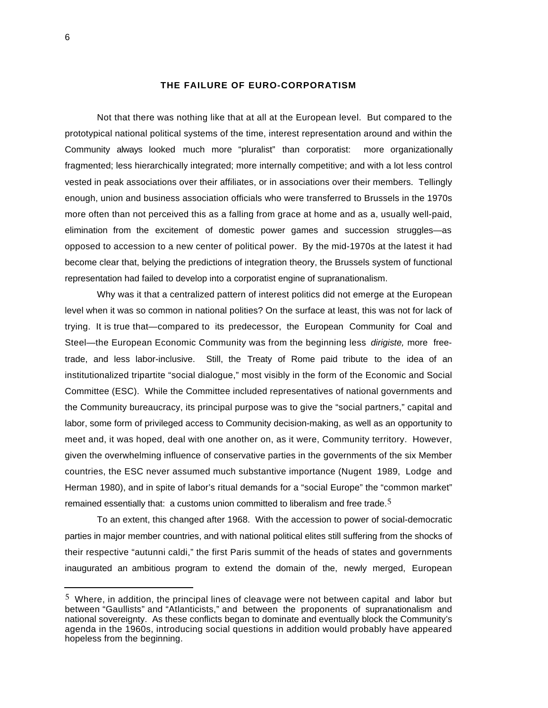#### **THE FAILURE OF EURO-CORPORATISM**

Not that there was nothing like that at all at the European level. But compared to the prototypical national political systems of the time, interest representation around and within the Community always looked much more "pluralist" than corporatist: more organizationally fragmented; less hierarchically integrated; more internally competitive; and with a lot less control vested in peak associations over their affiliates, or in associations over their members. Tellingly enough, union and business association officials who were transferred to Brussels in the 1970s more often than not perceived this as a falling from grace at home and as a, usually well-paid, elimination from the excitement of domestic power games and succession struggles—as opposed to accession to a new center of political power. By the mid-1970s at the latest it had become clear that, belying the predictions of integration theory, the Brussels system of functional representation had failed to develop into a corporatist engine of supranationalism.

Why was it that a centralized pattern of interest politics did not emerge at the European level when it was so common in national polities? On the surface at least, this was not for lack of trying. It is true that—compared to its predecessor, the European Community for Coal and Steel—the European Economic Community was from the beginning less *dirigiste,* more freetrade, and less labor-inclusive. Still, the Treaty of Rome paid tribute to the idea of an institutionalized tripartite "social dialogue," most visibly in the form of the Economic and Social Committee (ESC). While the Committee included representatives of national governments and the Community bureaucracy, its principal purpose was to give the "social partners," capital and labor, some form of privileged access to Community decision-making, as well as an opportunity to meet and, it was hoped, deal with one another on, as it were, Community territory. However, given the overwhelming influence of conservative parties in the governments of the six Member countries, the ESC never assumed much substantive importance (Nugent 1989, Lodge and Herman 1980), and in spite of labor's ritual demands for a "social Europe" the "common market" remained essentially that: a customs union committed to liberalism and free trade.<sup>5</sup>

To an extent, this changed after 1968. With the accession to power of social-democratic parties in major member countries, and with national political elites still suffering from the shocks of their respective "autunni caldi," the first Paris summit of the heads of states and governments inaugurated an ambitious program to extend the domain of the, newly merged, European

 $5$  Where, in addition, the principal lines of cleavage were not between capital and labor but between "Gaullists" and "Atlanticists," and between the proponents of supranationalism and national sovereignty. As these conflicts began to dominate and eventually block the Community's agenda in the 1960s, introducing social questions in addition would probably have appeared hopeless from the beginning.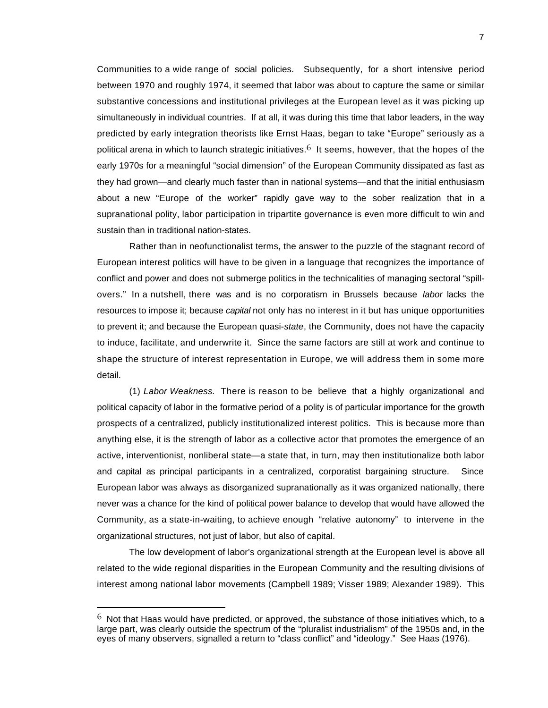Communities to a wide range of social policies. Subsequently, for a short intensive period between 1970 and roughly 1974, it seemed that labor was about to capture the same or similar substantive concessions and institutional privileges at the European level as it was picking up simultaneously in individual countries. If at all, it was during this time that labor leaders, in the way predicted by early integration theorists like Ernst Haas, began to take "Europe" seriously as a political arena in which to launch strategic initiatives.<sup>6</sup> It seems, however, that the hopes of the early 1970s for a meaningful "social dimension" of the European Community dissipated as fast as they had grown—and clearly much faster than in national systems—and that the initial enthusiasm about a new "Europe of the worker" rapidly gave way to the sober realization that in a supranational polity, labor participation in tripartite governance is even more difficult to win and sustain than in traditional nation-states.

Rather than in neofunctionalist terms, the answer to the puzzle of the stagnant record of European interest politics will have to be given in a language that recognizes the importance of conflict and power and does not submerge politics in the technicalities of managing sectoral "spillovers." In a nutshell, there was and is no corporatism in Brussels because *labor* lacks the resources to impose it; because *capital* not only has no interest in it but has unique opportunities to prevent it; and because the European quasi-*state*, the Community, does not have the capacity to induce, facilitate, and underwrite it. Since the same factors are still at work and continue to shape the structure of interest representation in Europe, we will address them in some more detail.

(1) *Labor Weakness.* There is reason to be believe that a highly organizational and political capacity of labor in the formative period of a polity is of particular importance for the growth prospects of a centralized, publicly institutionalized interest politics. This is because more than anything else, it is the strength of labor as a collective actor that promotes the emergence of an active, interventionist, nonliberal state—a state that, in turn, may then institutionalize both labor and capital as principal participants in a centralized, corporatist bargaining structure. Since European labor was always as disorganized supranationally as it was organized nationally, there never was a chance for the kind of political power balance to develop that would have allowed the Community, as a state-in-waiting, to achieve enough "relative autonomy" to intervene in the organizational structures, not just of labor, but also of capital.

The low development of labor's organizational strength at the European level is above all related to the wide regional disparities in the European Community and the resulting divisions of interest among national labor movements (Campbell 1989; Visser 1989; Alexander 1989). This

i.

 $6\,$  Not that Haas would have predicted, or approved, the substance of those initiatives which, to a large part, was clearly outside the spectrum of the "pluralist industrialism" of the 1950s and, in the eyes of many observers, signalled a return to "class conflict" and "ideology." See Haas (1976).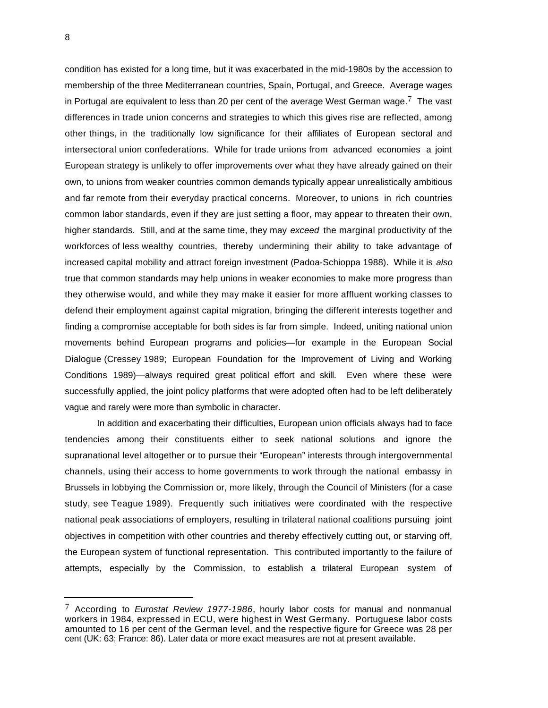condition has existed for a long time, but it was exacerbated in the mid-1980s by the accession to membership of the three Mediterranean countries, Spain, Portugal, and Greece. Average wages in Portugal are equivalent to less than 20 per cent of the average West German wage.<sup>7</sup> The vast differences in trade union concerns and strategies to which this gives rise are reflected, among other things, in the traditionally low significance for their affiliates of European sectoral and intersectoral union confederations. While for trade unions from advanced economies a joint European strategy is unlikely to offer improvements over what they have already gained on their own, to unions from weaker countries common demands typically appear unrealistically ambitious and far remote from their everyday practical concerns. Moreover, to unions in rich countries common labor standards, even if they are just setting a floor, may appear to threaten their own, higher standards. Still, and at the same time, they may *exceed* the marginal productivity of the workforces of less wealthy countries, thereby undermining their ability to take advantage of increased capital mobility and attract foreign investment (Padoa-Schioppa 1988). While it is *also* true that common standards may help unions in weaker economies to make more progress than they otherwise would, and while they may make it easier for more affluent working classes to defend their employment against capital migration, bringing the different interests together and finding a compromise acceptable for both sides is far from simple. Indeed, uniting national union movements behind European programs and policies—for example in the European Social Dialogue (Cressey 1989; European Foundation for the Improvement of Living and Working Conditions 1989)—always required great political effort and skill. Even where these were successfully applied, the joint policy platforms that were adopted often had to be left deliberately vague and rarely were more than symbolic in character.

In addition and exacerbating their difficulties, European union officials always had to face tendencies among their constituents either to seek national solutions and ignore the supranational level altogether or to pursue their "European" interests through intergovernmental channels, using their access to home governments to work through the national embassy in Brussels in lobbying the Commission or, more likely, through the Council of Ministers (for a case study, see Teague 1989). Frequently such initiatives were coordinated with the respective national peak associations of employers, resulting in trilateral national coalitions pursuing joint objectives in competition with other countries and thereby effectively cutting out, or starving off, the European system of functional representation. This contributed importantly to the failure of attempts, especially by the Commission, to establish a trilateral European system of

<sup>7</sup> According to *Eurostat Review 1977-1986*, hourly labor costs for manual and nonmanual workers in 1984, expressed in ECU, were highest in West Germany. Portuguese labor costs amounted to 16 per cent of the German level, and the respective figure for Greece was 28 per cent (UK: 63; France: 86). Later data or more exact measures are not at present available.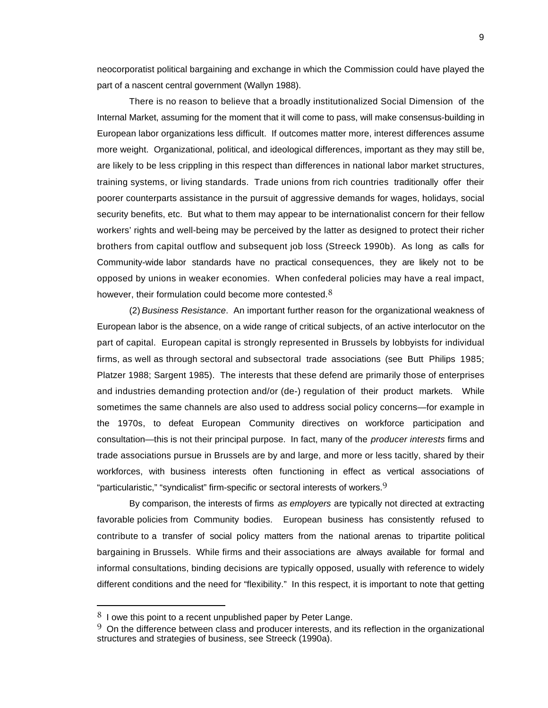neocorporatist political bargaining and exchange in which the Commission could have played the part of a nascent central government (Wallyn 1988).

There is no reason to believe that a broadly institutionalized Social Dimension of the Internal Market, assuming for the moment that it will come to pass, will make consensus-building in European labor organizations less difficult. If outcomes matter more, interest differences assume more weight. Organizational, political, and ideological differences, important as they may still be, are likely to be less crippling in this respect than differences in national labor market structures, training systems, or living standards. Trade unions from rich countries traditionally offer their poorer counterparts assistance in the pursuit of aggressive demands for wages, holidays, social security benefits, etc. But what to them may appear to be internationalist concern for their fellow workers' rights and well-being may be perceived by the latter as designed to protect their richer brothers from capital outflow and subsequent job loss (Streeck 1990b). As long as calls for Community-wide labor standards have no practical consequences, they are likely not to be opposed by unions in weaker economies. When confederal policies may have a real impact, however, their formulation could become more contested.  $8$ 

(2) *Business Resistance*. An important further reason for the organizational weakness of European labor is the absence, on a wide range of critical subjects, of an active interlocutor on the part of capital. European capital is strongly represented in Brussels by lobbyists for individual firms, as well as through sectoral and subsectoral trade associations (see Butt Philips 1985; Platzer 1988; Sargent 1985). The interests that these defend are primarily those of enterprises and industries demanding protection and/or (de-) regulation of their product markets. While sometimes the same channels are also used to address social policy concerns—for example in the 1970s, to defeat European Community directives on workforce participation and consultation—this is not their principal purpose. In fact, many of the *producer interests* firms and trade associations pursue in Brussels are by and large, and more or less tacitly, shared by their workforces, with business interests often functioning in effect as vertical associations of "particularistic," "syndicalist" firm-specific or sectoral interests of workers. $9$ 

By comparison, the interests of firms *as employers* are typically not directed at extracting favorable policies from Community bodies. European business has consistently refused to contribute to a transfer of social policy matters from the national arenas to tripartite political bargaining in Brussels. While firms and their associations are always available for formal and informal consultations, binding decisions are typically opposed, usually with reference to widely different conditions and the need for "flexibility." In this respect, it is important to note that getting

 $8<sup>8</sup>$  I owe this point to a recent unpublished paper by Peter Lange.

 $9\,$  On the difference between class and producer interests, and its reflection in the organizational structures and strategies of business, see Streeck (1990a).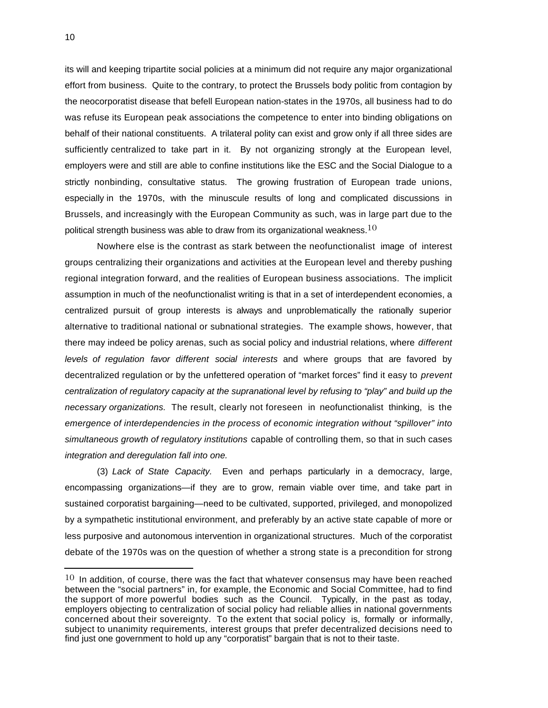its will and keeping tripartite social policies at a minimum did not require any major organizational effort from business. Quite to the contrary, to protect the Brussels body politic from contagion by the neocorporatist disease that befell European nation-states in the 1970s, all business had to do was refuse its European peak associations the competence to enter into binding obligations on behalf of their national constituents. A trilateral polity can exist and grow only if all three sides are sufficiently centralized to take part in it. By not organizing strongly at the European level, employers were and still are able to confine institutions like the ESC and the Social Dialogue to a strictly nonbinding, consultative status. The growing frustration of European trade unions, especially in the 1970s, with the minuscule results of long and complicated discussions in Brussels, and increasingly with the European Community as such, was in large part due to the political strength business was able to draw from its organizational weakness. $10$ 

Nowhere else is the contrast as stark between the neofunctionalist image of interest groups centralizing their organizations and activities at the European level and thereby pushing regional integration forward, and the realities of European business associations. The implicit assumption in much of the neofunctionalist writing is that in a set of interdependent economies, a centralized pursuit of group interests is always and unproblematically the rationally superior alternative to traditional national or subnational strategies. The example shows, however, that there may indeed be policy arenas, such as social policy and industrial relations, where *different levels of regulation favor different social interests* and where groups that are favored by decentralized regulation or by the unfettered operation of "market forces" find it easy to *prevent centralization of regulatory capacity at the supranational level by refusing to "play" and build up the necessary organizations.* The result, clearly not foreseen in neofunctionalist thinking, is the *emergence of interdependencies in the process of economic integration without "spillover" into simultaneous growth of regulatory institutions* capable of controlling them, so that in such cases *integration and deregulation fall into one.*

(3) *Lack of State Capacity.* Even and perhaps particularly in a democracy, large, encompassing organizations—if they are to grow, remain viable over time, and take part in sustained corporatist bargaining—need to be cultivated, supported, privileged, and monopolized by a sympathetic institutional environment, and preferably by an active state capable of more or less purposive and autonomous intervention in organizational structures. Much of the corporatist debate of the 1970s was on the question of whether a strong state is a precondition for strong

 $10$  In addition, of course, there was the fact that whatever consensus may have been reached between the "social partners" in, for example, the Economic and Social Committee, had to find the support of more powerful bodies such as the Council. Typically, in the past as today, employers objecting to centralization of social policy had reliable allies in national governments concerned about their sovereignty. To the extent that social policy is, formally or informally, subject to unanimity requirements, interest groups that prefer decentralized decisions need to find just one government to hold up any "corporatist" bargain that is not to their taste.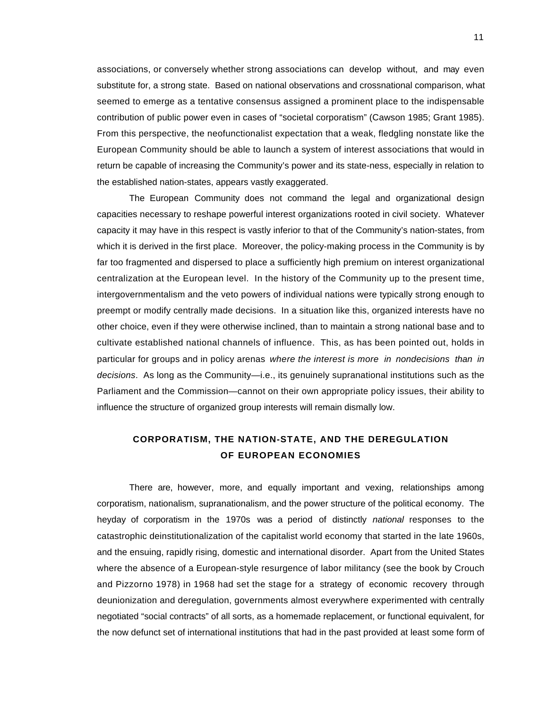associations, or conversely whether strong associations can develop without, and may even substitute for, a strong state. Based on national observations and crossnational comparison, what seemed to emerge as a tentative consensus assigned a prominent place to the indispensable contribution of public power even in cases of "societal corporatism" (Cawson 1985; Grant 1985). From this perspective, the neofunctionalist expectation that a weak, fledgling nonstate like the European Community should be able to launch a system of interest associations that would in return be capable of increasing the Community's power and its state-ness, especially in relation to the established nation-states, appears vastly exaggerated.

The European Community does not command the legal and organizational design capacities necessary to reshape powerful interest organizations rooted in civil society. Whatever capacity it may have in this respect is vastly inferior to that of the Community's nation-states, from which it is derived in the first place. Moreover, the policy-making process in the Community is by far too fragmented and dispersed to place a sufficiently high premium on interest organizational centralization at the European level. In the history of the Community up to the present time, intergovernmentalism and the veto powers of individual nations were typically strong enough to preempt or modify centrally made decisions. In a situation like this, organized interests have no other choice, even if they were otherwise inclined, than to maintain a strong national base and to cultivate established national channels of influence. This, as has been pointed out, holds in particular for groups and in policy arenas *where the interest is more in nondecisions than in decisions*. As long as the Community—i.e., its genuinely supranational institutions such as the Parliament and the Commission—cannot on their own appropriate policy issues, their ability to influence the structure of organized group interests will remain dismally low.

# **CORPORATISM, THE NATION-STATE, AND THE DEREGULATION OF EUROPEAN ECONOMIES**

There are, however, more, and equally important and vexing, relationships among corporatism, nationalism, supranationalism, and the power structure of the political economy. The heyday of corporatism in the 1970s was a period of distinctly *national* responses to the catastrophic deinstitutionalization of the capitalist world economy that started in the late 1960s, and the ensuing, rapidly rising, domestic and international disorder. Apart from the United States where the absence of a European-style resurgence of labor militancy (see the book by Crouch and Pizzorno 1978) in 1968 had set the stage for a strategy of economic recovery through deunionization and deregulation, governments almost everywhere experimented with centrally negotiated "social contracts" of all sorts, as a homemade replacement, or functional equivalent, for the now defunct set of international institutions that had in the past provided at least some form of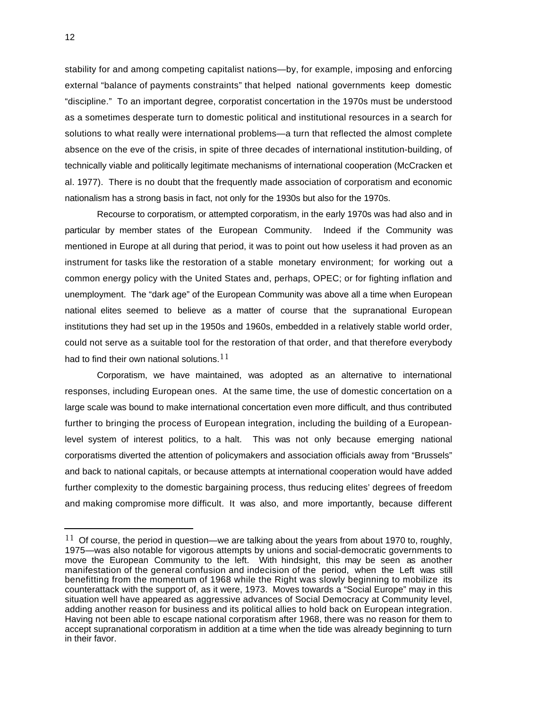stability for and among competing capitalist nations—by, for example, imposing and enforcing external "balance of payments constraints" that helped national governments keep domestic "discipline." To an important degree, corporatist concertation in the 1970s must be understood as a sometimes desperate turn to domestic political and institutional resources in a search for solutions to what really were international problems—a turn that reflected the almost complete absence on the eve of the crisis, in spite of three decades of international institution-building, of technically viable and politically legitimate mechanisms of international cooperation (McCracken et al. 1977). There is no doubt that the frequently made association of corporatism and economic nationalism has a strong basis in fact, not only for the 1930s but also for the 1970s.

Recourse to corporatism, or attempted corporatism, in the early 1970s was had also and in particular by member states of the European Community. Indeed if the Community was mentioned in Europe at all during that period, it was to point out how useless it had proven as an instrument for tasks like the restoration of a stable monetary environment; for working out a common energy policy with the United States and, perhaps, OPEC; or for fighting inflation and unemployment. The "dark age" of the European Community was above all a time when European national elites seemed to believe as a matter of course that the supranational European institutions they had set up in the 1950s and 1960s, embedded in a relatively stable world order, could not serve as a suitable tool for the restoration of that order, and that therefore everybody had to find their own national solutions.  $11$ 

Corporatism, we have maintained, was adopted as an alternative to international responses, including European ones. At the same time, the use of domestic concertation on a large scale was bound to make international concertation even more difficult, and thus contributed further to bringing the process of European integration, including the building of a Europeanlevel system of interest politics, to a halt. This was not only because emerging national corporatisms diverted the attention of policymakers and association officials away from "Brussels" and back to national capitals, or because attempts at international cooperation would have added further complexity to the domestic bargaining process, thus reducing elites' degrees of freedom and making compromise more difficult. It was also, and more importantly, because different

 $11$  Of course, the period in question—we are talking about the years from about 1970 to, roughly, 1975—was also notable for vigorous attempts by unions and social-democratic governments to move the European Community to the left. With hindsight, this may be seen as another manifestation of the general confusion and indecision of the period, when the Left was still benefitting from the momentum of 1968 while the Right was slowly beginning to mobilize its counterattack with the support of, as it were, 1973. Moves towards a "Social Europe" may in this situation well have appeared as aggressive advances of Social Democracy at Community level, adding another reason for business and its political allies to hold back on European integration. Having not been able to escape national corporatism after 1968, there was no reason for them to accept supranational corporatism in addition at a time when the tide was already beginning to turn in their favor.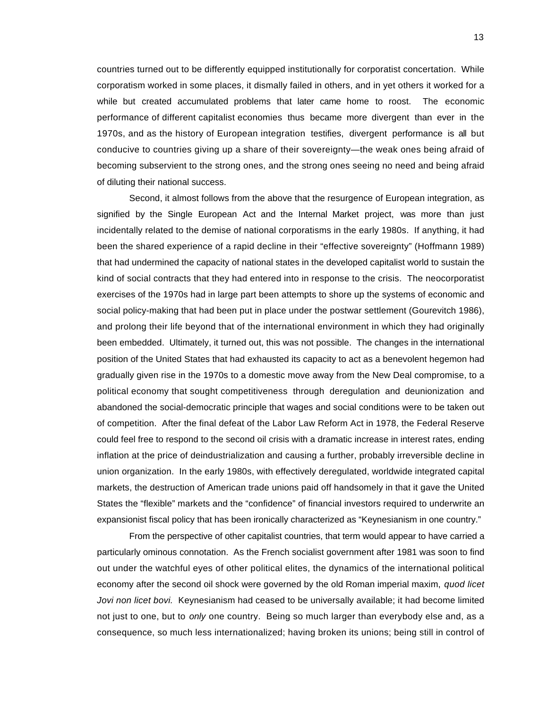countries turned out to be differently equipped institutionally for corporatist concertation. While corporatism worked in some places, it dismally failed in others, and in yet others it worked for a while but created accumulated problems that later came home to roost. The economic performance of different capitalist economies thus became more divergent than ever in the 1970s, and as the history of European integration testifies, divergent performance is all but conducive to countries giving up a share of their sovereignty—the weak ones being afraid of becoming subservient to the strong ones, and the strong ones seeing no need and being afraid of diluting their national success.

Second, it almost follows from the above that the resurgence of European integration, as signified by the Single European Act and the Internal Market project, was more than just incidentally related to the demise of national corporatisms in the early 1980s. If anything, it had been the shared experience of a rapid decline in their "effective sovereignty" (Hoffmann 1989) that had undermined the capacity of national states in the developed capitalist world to sustain the kind of social contracts that they had entered into in response to the crisis. The neocorporatist exercises of the 1970s had in large part been attempts to shore up the systems of economic and social policy-making that had been put in place under the postwar settlement (Gourevitch 1986), and prolong their life beyond that of the international environment in which they had originally been embedded. Ultimately, it turned out, this was not possible. The changes in the international position of the United States that had exhausted its capacity to act as a benevolent hegemon had gradually given rise in the 1970s to a domestic move away from the New Deal compromise, to a political economy that sought competitiveness through deregulation and deunionization and abandoned the social-democratic principle that wages and social conditions were to be taken out of competition. After the final defeat of the Labor Law Reform Act in 1978, the Federal Reserve could feel free to respond to the second oil crisis with a dramatic increase in interest rates, ending inflation at the price of deindustrialization and causing a further, probably irreversible decline in union organization. In the early 1980s, with effectively deregulated, worldwide integrated capital markets, the destruction of American trade unions paid off handsomely in that it gave the United States the "flexible" markets and the "confidence" of financial investors required to underwrite an expansionist fiscal policy that has been ironically characterized as "Keynesianism in one country."

From the perspective of other capitalist countries, that term would appear to have carried a particularly ominous connotation. As the French socialist government after 1981 was soon to find out under the watchful eyes of other political elites, the dynamics of the international political economy after the second oil shock were governed by the old Roman imperial maxim, *quod licet Jovi non licet bovi.* Keynesianism had ceased to be universally available; it had become limited not just to one, but to *only* one country. Being so much larger than everybody else and, as a consequence, so much less internationalized; having broken its unions; being still in control of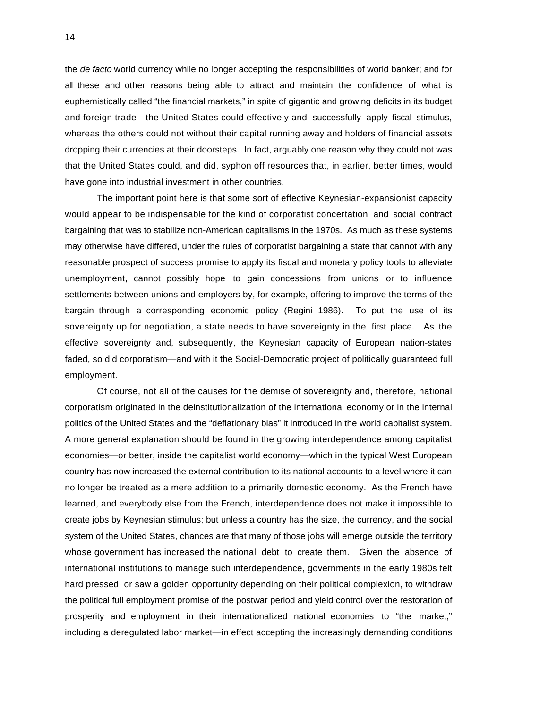the *de facto* world currency while no longer accepting the responsibilities of world banker; and for all these and other reasons being able to attract and maintain the confidence of what is euphemistically called "the financial markets," in spite of gigantic and growing deficits in its budget and foreign trade—the United States could effectively and successfully apply fiscal stimulus, whereas the others could not without their capital running away and holders of financial assets dropping their currencies at their doorsteps. In fact, arguably one reason why they could not was that the United States could, and did, syphon off resources that, in earlier, better times, would have gone into industrial investment in other countries.

The important point here is that some sort of effective Keynesian-expansionist capacity would appear to be indispensable for the kind of corporatist concertation and social contract bargaining that was to stabilize non-American capitalisms in the 1970s. As much as these systems may otherwise have differed, under the rules of corporatist bargaining a state that cannot with any reasonable prospect of success promise to apply its fiscal and monetary policy tools to alleviate unemployment, cannot possibly hope to gain concessions from unions or to influence settlements between unions and employers by, for example, offering to improve the terms of the bargain through a corresponding economic policy (Regini 1986). To put the use of its sovereignty up for negotiation, a state needs to have sovereignty in the first place. As the effective sovereignty and, subsequently, the Keynesian capacity of European nation-states faded, so did corporatism—and with it the Social-Democratic project of politically guaranteed full employment.

Of course, not all of the causes for the demise of sovereignty and, therefore, national corporatism originated in the deinstitutionalization of the international economy or in the internal politics of the United States and the "deflationary bias" it introduced in the world capitalist system. A more general explanation should be found in the growing interdependence among capitalist economies—or better, inside the capitalist world economy—which in the typical West European country has now increased the external contribution to its national accounts to a level where it can no longer be treated as a mere addition to a primarily domestic economy. As the French have learned, and everybody else from the French, interdependence does not make it impossible to create jobs by Keynesian stimulus; but unless a country has the size, the currency, and the social system of the United States, chances are that many of those jobs will emerge outside the territory whose government has increased the national debt to create them. Given the absence of international institutions to manage such interdependence, governments in the early 1980s felt hard pressed, or saw a golden opportunity depending on their political complexion, to withdraw the political full employment promise of the postwar period and yield control over the restoration of prosperity and employment in their internationalized national economies to "the market," including a deregulated labor market—in effect accepting the increasingly demanding conditions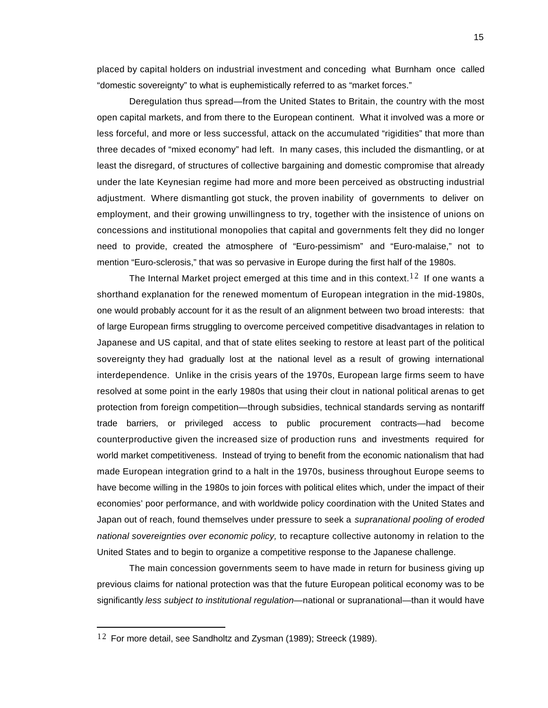placed by capital holders on industrial investment and conceding what Burnham once called "domestic sovereignty" to what is euphemistically referred to as "market forces."

Deregulation thus spread—from the United States to Britain, the country with the most open capital markets, and from there to the European continent. What it involved was a more or less forceful, and more or less successful, attack on the accumulated "rigidities" that more than three decades of "mixed economy" had left. In many cases, this included the dismantling, or at least the disregard, of structures of collective bargaining and domestic compromise that already under the late Keynesian regime had more and more been perceived as obstructing industrial adjustment. Where dismantling got stuck, the proven inability of governments to deliver on employment, and their growing unwillingness to try, together with the insistence of unions on concessions and institutional monopolies that capital and governments felt they did no longer need to provide, created the atmosphere of "Euro-pessimism" and "Euro-malaise," not to mention "Euro-sclerosis," that was so pervasive in Europe during the first half of the 1980s.

The Internal Market project emerged at this time and in this context.<sup>12</sup> If one wants a shorthand explanation for the renewed momentum of European integration in the mid-1980s, one would probably account for it as the result of an alignment between two broad interests: that of large European firms struggling to overcome perceived competitive disadvantages in relation to Japanese and US capital, and that of state elites seeking to restore at least part of the political sovereignty they had gradually lost at the national level as a result of growing international interdependence. Unlike in the crisis years of the 1970s, European large firms seem to have resolved at some point in the early 1980s that using their clout in national political arenas to get protection from foreign competition—through subsidies, technical standards serving as nontariff trade barriers, or privileged access to public procurement contracts—had become counterproductive given the increased size of production runs and investments required for world market competitiveness. Instead of trying to benefit from the economic nationalism that had made European integration grind to a halt in the 1970s, business throughout Europe seems to have become willing in the 1980s to join forces with political elites which, under the impact of their economies' poor performance, and with worldwide policy coordination with the United States and Japan out of reach, found themselves under pressure to seek a *supranational pooling of eroded national sovereignties over economic policy,* to recapture collective autonomy in relation to the United States and to begin to organize a competitive response to the Japanese challenge.

The main concession governments seem to have made in return for business giving up previous claims for national protection was that the future European political economy was to be significantly *less subject to institutional regulation—*national or supranational—than it would have

 $12$  For more detail, see Sandholtz and Zysman (1989); Streeck (1989).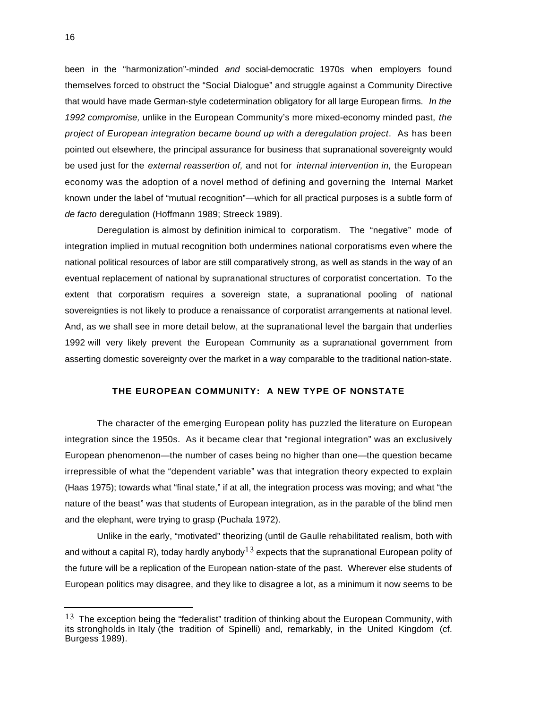been in the "harmonization"-minded *and* social-democratic 1970s when employers found themselves forced to obstruct the "Social Dialogue" and struggle against a Community Directive that would have made German-style codetermination obligatory for all large European firms. *In the 1992 compromise,* unlike in the European Community's more mixed-economy minded past, *the project of European integration became bound up with a deregulation project*. As has been pointed out elsewhere, the principal assurance for business that supranational sovereignty would be used just for the *external reassertion of,* and not for *internal intervention in,* the European economy was the adoption of a novel method of defining and governing the Internal Market known under the label of "mutual recognition"—which for all practical purposes is a subtle form of *de facto* deregulation (Hoffmann 1989; Streeck 1989).

Deregulation is almost by definition inimical to corporatism. The "negative" mode of integration implied in mutual recognition both undermines national corporatisms even where the national political resources of labor are still comparatively strong, as well as stands in the way of an eventual replacement of national by supranational structures of corporatist concertation. To the extent that corporatism requires a sovereign state, a supranational pooling of national sovereignties is not likely to produce a renaissance of corporatist arrangements at national level. And, as we shall see in more detail below, at the supranational level the bargain that underlies 1992 will very likely prevent the European Community as a supranational government from asserting domestic sovereignty over the market in a way comparable to the traditional nation-state.

# **THE EUROPEAN COMMUNITY: A NEW TYPE OF NONSTATE**

The character of the emerging European polity has puzzled the literature on European integration since the 1950s. As it became clear that "regional integration" was an exclusively European phenomenon—the number of cases being no higher than one—the question became irrepressible of what the "dependent variable" was that integration theory expected to explain (Haas 1975); towards what "final state," if at all, the integration process was moving; and what "the nature of the beast" was that students of European integration, as in the parable of the blind men and the elephant, were trying to grasp (Puchala 1972).

Unlike in the early, "motivated" theorizing (until de Gaulle rehabilitated realism, both with and without a capital R), today hardly anybody  $13$  expects that the supranational European polity of the future will be a replication of the European nation-state of the past. Wherever else students of European politics may disagree, and they like to disagree a lot, as a minimum it now seems to be

i

 $13$  The exception being the "federalist" tradition of thinking about the European Community, with its strongholds in Italy (the tradition of Spinelli) and, remarkably, in the United Kingdom (cf. Burgess 1989).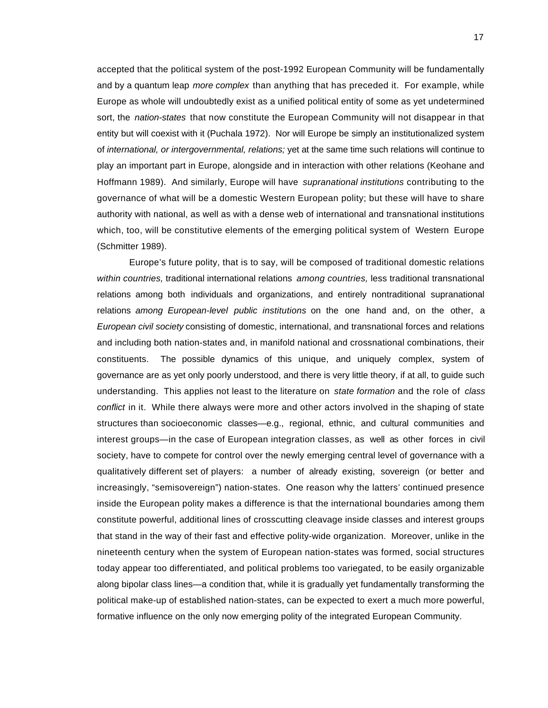accepted that the political system of the post-1992 European Community will be fundamentally and by a quantum leap *more complex* than anything that has preceded it. For example, while Europe as whole will undoubtedly exist as a unified political entity of some as yet undetermined sort, the *nation-states* that now constitute the European Community will not disappear in that entity but will coexist with it (Puchala 1972). Nor will Europe be simply an institutionalized system of *international, or intergovernmental, relations;* yet at the same time such relations will continue to play an important part in Europe, alongside and in interaction with other relations (Keohane and Hoffmann 1989). And similarly, Europe will have *supranational institutions* contributing to the governance of what will be a domestic Western European polity; but these will have to share authority with national, as well as with a dense web of international and transnational institutions which, too, will be constitutive elements of the emerging political system of Western Europe (Schmitter 1989).

Europe's future polity, that is to say, will be composed of traditional domestic relations *within countries,* traditional international relations *among countries,* less traditional transnational relations among both individuals and organizations, and entirely nontraditional supranational relations *among European-level public institutions* on the one hand and, on the other, a *European civil society* consisting of domestic, international, and transnational forces and relations and including both nation-states and, in manifold national and crossnational combinations, their constituents. The possible dynamics of this unique, and uniquely complex, system of governance are as yet only poorly understood, and there is very little theory, if at all, to guide such understanding. This applies not least to the literature on *state formation* and the role of *class* conflict in it. While there always were more and other actors involved in the shaping of state structures than socioeconomic classes—e.g., regional, ethnic, and cultural communities and interest groups—in the case of European integration classes, as well as other forces in civil society, have to compete for control over the newly emerging central level of governance with a qualitatively different set of players: a number of already existing, sovereign (or better and increasingly, "semisovereign") nation-states. One reason why the latters' continued presence inside the European polity makes a difference is that the international boundaries among them constitute powerful, additional lines of crosscutting cleavage inside classes and interest groups that stand in the way of their fast and effective polity-wide organization. Moreover, unlike in the nineteenth century when the system of European nation-states was formed, social structures today appear too differentiated, and political problems too variegated, to be easily organizable along bipolar class lines—a condition that, while it is gradually yet fundamentally transforming the political make-up of established nation-states, can be expected to exert a much more powerful, formative influence on the only now emerging polity of the integrated European Community.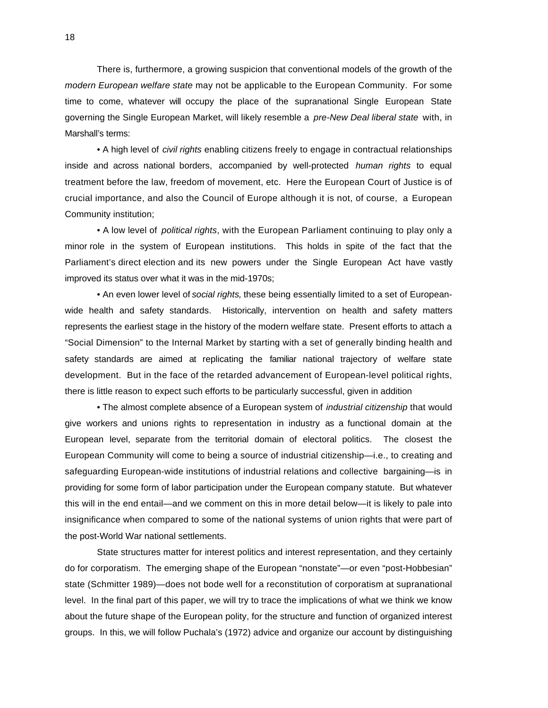There is, furthermore, a growing suspicion that conventional models of the growth of the *modern European welfare state* may not be applicable to the European Community. For some time to come, whatever will occupy the place of the supranational Single European State governing the Single European Market, will likely resemble a *pre-New Deal liberal state* with, in Marshall's terms:

• A high level of *civil rights* enabling citizens freely to engage in contractual relationships inside and across national borders, accompanied by well-protected *human rights* to equal treatment before the law, freedom of movement, etc. Here the European Court of Justice is of crucial importance, and also the Council of Europe although it is not, of course, a European Community institution;

• A low level of *political rights*, with the European Parliament continuing to play only a minor role in the system of European institutions. This holds in spite of the fact that the Parliament's direct election and its new powers under the Single European Act have vastly improved its status over what it was in the mid-1970s;

• An even lower level of *social rights,* these being essentially limited to a set of Europeanwide health and safety standards. Historically, intervention on health and safety matters represents the earliest stage in the history of the modern welfare state. Present efforts to attach a "Social Dimension" to the Internal Market by starting with a set of generally binding health and safety standards are aimed at replicating the familiar national trajectory of welfare state development. But in the face of the retarded advancement of European-level political rights, there is little reason to expect such efforts to be particularly successful, given in addition

• The almost complete absence of a European system of *industrial citizenship* that would give workers and unions rights to representation in industry as a functional domain at the European level, separate from the territorial domain of electoral politics. The closest the European Community will come to being a source of industrial citizenship—i.e., to creating and safeguarding European-wide institutions of industrial relations and collective bargaining—is in providing for some form of labor participation under the European company statute. But whatever this will in the end entail—and we comment on this in more detail below—it is likely to pale into insignificance when compared to some of the national systems of union rights that were part of the post-World War national settlements.

State structures matter for interest politics and interest representation, and they certainly do for corporatism. The emerging shape of the European "nonstate"—or even "post-Hobbesian" state (Schmitter 1989)—does not bode well for a reconstitution of corporatism at supranational level. In the final part of this paper, we will try to trace the implications of what we think we know about the future shape of the European polity, for the structure and function of organized interest groups. In this, we will follow Puchala's (1972) advice and organize our account by distinguishing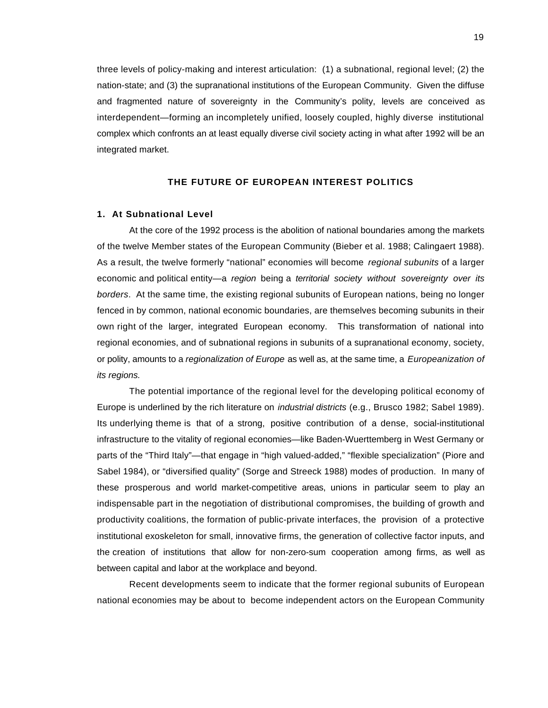three levels of policy-making and interest articulation: (1) a subnational, regional level; (2) the nation-state; and (3) the supranational institutions of the European Community. Given the diffuse and fragmented nature of sovereignty in the Community's polity, levels are conceived as interdependent—forming an incompletely unified, loosely coupled, highly diverse institutional complex which confronts an at least equally diverse civil society acting in what after 1992 will be an integrated market.

#### **THE FUTURE OF EUROPEAN INTEREST POLITICS**

#### **1. At Subnational Level**

At the core of the 1992 process is the abolition of national boundaries among the markets of the twelve Member states of the European Community (Bieber et al. 1988; Calingaert 1988). As a result, the twelve formerly "national" economies will become *regional subunits* of a larger economic and political entity—a *region* being a *territorial society without sovereignty over its borders*. At the same time, the existing regional subunits of European nations, being no longer fenced in by common, national economic boundaries, are themselves becoming subunits in their own right of the larger, integrated European economy. This transformation of national into regional economies, and of subnational regions in subunits of a supranational economy, society, or polity, amounts to a *regionalization of Europe* as well as, at the same time, a *Europeanization of its regions.*

The potential importance of the regional level for the developing political economy of Europe is underlined by the rich literature on *industrial districts* (e.g., Brusco 1982; Sabel 1989). Its underlying theme is that of a strong, positive contribution of a dense, social-institutional infrastructure to the vitality of regional economies—like Baden-Wuerttemberg in West Germany or parts of the "Third Italy"—that engage in "high valued-added," "flexible specialization" (Piore and Sabel 1984), or "diversified quality" (Sorge and Streeck 1988) modes of production. In many of these prosperous and world market-competitive areas, unions in particular seem to play an indispensable part in the negotiation of distributional compromises, the building of growth and productivity coalitions, the formation of public-private interfaces, the provision of a protective institutional exoskeleton for small, innovative firms, the generation of collective factor inputs, and the creation of institutions that allow for non-zero-sum cooperation among firms, as well as between capital and labor at the workplace and beyond.

Recent developments seem to indicate that the former regional subunits of European national economies may be about to become independent actors on the European Community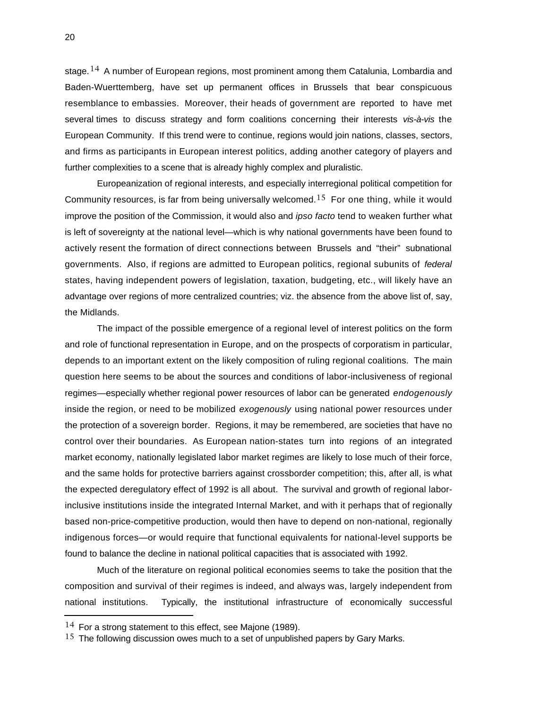stage.<sup>14</sup> A number of European regions, most prominent among them Catalunia, Lombardia and Baden-Wuerttemberg, have set up permanent offices in Brussels that bear conspicuous resemblance to embassies. Moreover, their heads of government are reported to have met several times to discuss strategy and form coalitions concerning their interests *vis-à-vis* the European Community. If this trend were to continue, regions would join nations, classes, sectors, and firms as participants in European interest politics, adding another category of players and further complexities to a scene that is already highly complex and pluralistic.

Europeanization of regional interests, and especially interregional political competition for Community resources, is far from being universally welcomed.<sup>15</sup> For one thing, while it would improve the position of the Commission, it would also and *ipso facto* tend to weaken further what is left of sovereignty at the national level—which is why national governments have been found to actively resent the formation of direct connections between Brussels and "their" subnational governments. Also, if regions are admitted to European politics, regional subunits of *federal* states, having independent powers of legislation, taxation, budgeting, etc., will likely have an advantage over regions of more centralized countries; viz. the absence from the above list of, say, the Midlands.

The impact of the possible emergence of a regional level of interest politics on the form and role of functional representation in Europe, and on the prospects of corporatism in particular, depends to an important extent on the likely composition of ruling regional coalitions. The main question here seems to be about the sources and conditions of labor-inclusiveness of regional regimes—especially whether regional power resources of labor can be generated *endogenously* inside the region, or need to be mobilized *exogenously* using national power resources under the protection of a sovereign border. Regions, it may be remembered, are societies that have no control over their boundaries. As European nation-states turn into regions of an integrated market economy, nationally legislated labor market regimes are likely to lose much of their force, and the same holds for protective barriers against crossborder competition; this, after all, is what the expected deregulatory effect of 1992 is all about. The survival and growth of regional laborinclusive institutions inside the integrated Internal Market, and with it perhaps that of regionally based non-price-competitive production, would then have to depend on non-national, regionally indigenous forces—or would require that functional equivalents for national-level supports be found to balance the decline in national political capacities that is associated with 1992.

Much of the literature on regional political economies seems to take the position that the composition and survival of their regimes is indeed, and always was, largely independent from national institutions. Typically, the institutional infrastructure of economically successful

i

 $14$  For a strong statement to this effect, see Majone (1989).

 $15$  The following discussion owes much to a set of unpublished papers by Gary Marks.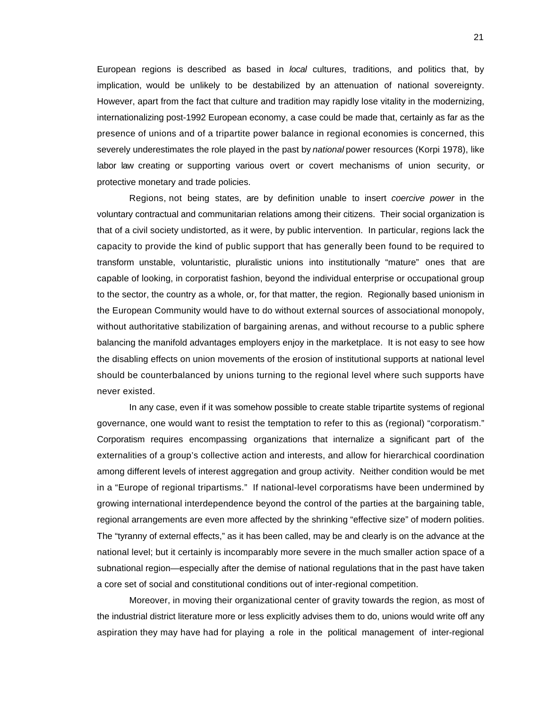European regions is described as based in *local* cultures, traditions, and politics that, by implication, would be unlikely to be destabilized by an attenuation of national sovereignty. However, apart from the fact that culture and tradition may rapidly lose vitality in the modernizing, internationalizing post-1992 European economy, a case could be made that, certainly as far as the presence of unions and of a tripartite power balance in regional economies is concerned, this severely underestimates the role played in the past by *national* power resources (Korpi 1978), like labor law creating or supporting various overt or covert mechanisms of union security, or protective monetary and trade policies.

Regions, not being states, are by definition unable to insert *coercive power* in the voluntary contractual and communitarian relations among their citizens. Their social organization is that of a civil society undistorted, as it were, by public intervention. In particular, regions lack the capacity to provide the kind of public support that has generally been found to be required to transform unstable, voluntaristic, pluralistic unions into institutionally "mature" ones that are capable of looking, in corporatist fashion, beyond the individual enterprise or occupational group to the sector, the country as a whole, or, for that matter, the region. Regionally based unionism in the European Community would have to do without external sources of associational monopoly, without authoritative stabilization of bargaining arenas, and without recourse to a public sphere balancing the manifold advantages employers enjoy in the marketplace. It is not easy to see how the disabling effects on union movements of the erosion of institutional supports at national level should be counterbalanced by unions turning to the regional level where such supports have never existed.

In any case, even if it was somehow possible to create stable tripartite systems of regional governance, one would want to resist the temptation to refer to this as (regional) "corporatism." Corporatism requires encompassing organizations that internalize a significant part of the externalities of a group's collective action and interests, and allow for hierarchical coordination among different levels of interest aggregation and group activity. Neither condition would be met in a "Europe of regional tripartisms." If national-level corporatisms have been undermined by growing international interdependence beyond the control of the parties at the bargaining table, regional arrangements are even more affected by the shrinking "effective size" of modern polities. The "tyranny of external effects," as it has been called, may be and clearly is on the advance at the national level; but it certainly is incomparably more severe in the much smaller action space of a subnational region—especially after the demise of national regulations that in the past have taken a core set of social and constitutional conditions out of inter-regional competition.

Moreover, in moving their organizational center of gravity towards the region, as most of the industrial district literature more or less explicitly advises them to do, unions would write off any aspiration they may have had for playing a role in the political management of inter-regional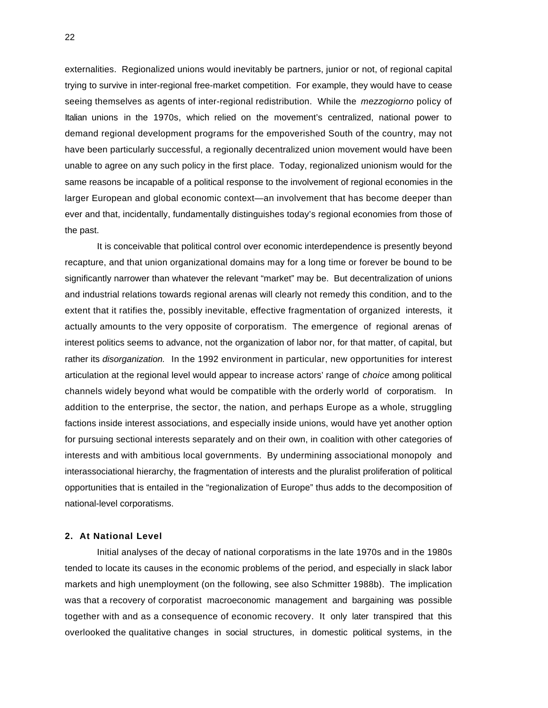externalities. Regionalized unions would inevitably be partners, junior or not, of regional capital trying to survive in inter-regional free-market competition. For example, they would have to cease seeing themselves as agents of inter-regional redistribution. While the *mezzogiorno* policy of Italian unions in the 1970s, which relied on the movement's centralized, national power to demand regional development programs for the empoverished South of the country, may not have been particularly successful, a regionally decentralized union movement would have been unable to agree on any such policy in the first place. Today, regionalized unionism would for the same reasons be incapable of a political response to the involvement of regional economies in the larger European and global economic context—an involvement that has become deeper than ever and that, incidentally, fundamentally distinguishes today's regional economies from those of the past.

It is conceivable that political control over economic interdependence is presently beyond recapture, and that union organizational domains may for a long time or forever be bound to be significantly narrower than whatever the relevant "market" may be. But decentralization of unions and industrial relations towards regional arenas will clearly not remedy this condition, and to the extent that it ratifies the, possibly inevitable, effective fragmentation of organized interests, it actually amounts to the very opposite of corporatism. The emergence of regional arenas of interest politics seems to advance, not the organization of labor nor, for that matter, of capital, but rather its *disorganization.* In the 1992 environment in particular, new opportunities for interest articulation at the regional level would appear to increase actors' range of *choice* among political channels widely beyond what would be compatible with the orderly world of corporatism. In addition to the enterprise, the sector, the nation, and perhaps Europe as a whole, struggling factions inside interest associations, and especially inside unions, would have yet another option for pursuing sectional interests separately and on their own, in coalition with other categories of interests and with ambitious local governments. By undermining associational monopoly and interassociational hierarchy, the fragmentation of interests and the pluralist proliferation of political opportunities that is entailed in the "regionalization of Europe" thus adds to the decomposition of national-level corporatisms.

## **2. At National Level**

Initial analyses of the decay of national corporatisms in the late 1970s and in the 1980s tended to locate its causes in the economic problems of the period, and especially in slack labor markets and high unemployment (on the following, see also Schmitter 1988b). The implication was that a recovery of corporatist macroeconomic management and bargaining was possible together with and as a consequence of economic recovery. It only later transpired that this overlooked the qualitative changes in social structures, in domestic political systems, in the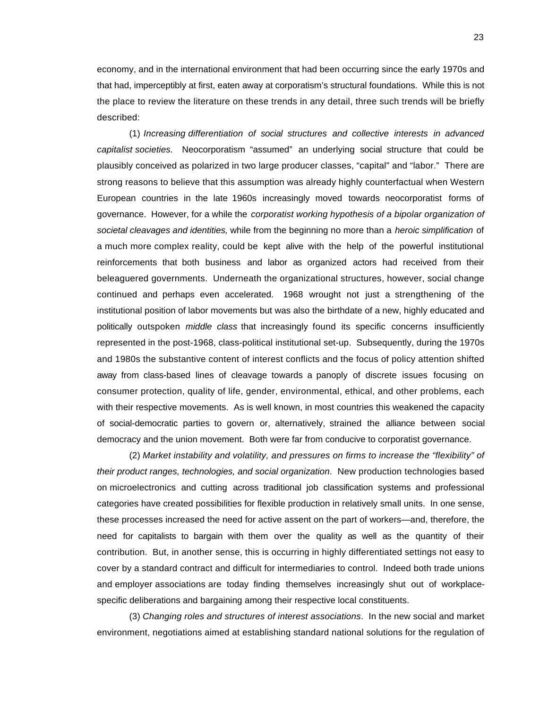economy, and in the international environment that had been occurring since the early 1970s and that had, imperceptibly at first, eaten away at corporatism's structural foundations. While this is not the place to review the literature on these trends in any detail, three such trends will be briefly described:

(1) *Increasing differentiation of social structures and collective interests in advanced capitalist societies.* Neocorporatism "assumed" an underlying social structure that could be plausibly conceived as polarized in two large producer classes, "capital" and "labor." There are strong reasons to believe that this assumption was already highly counterfactual when Western European countries in the late 1960s increasingly moved towards neocorporatist forms of governance. However, for a while the *corporatist working hypothesis of a bipolar organization of societal cleavages and identities,* while from the beginning no more than a *heroic simplification* of a much more complex reality, could be kept alive with the help of the powerful institutional reinforcements that both business and labor as organized actors had received from their beleaguered governments. Underneath the organizational structures, however, social change continued and perhaps even accelerated. 1968 wrought not just a strengthening of the institutional position of labor movements but was also the birthdate of a new, highly educated and politically outspoken *middle class* that increasingly found its specific concerns insufficiently represented in the post-1968, class-political institutional set-up. Subsequently, during the 1970s and 1980s the substantive content of interest conflicts and the focus of policy attention shifted away from class-based lines of cleavage towards a panoply of discrete issues focusing on consumer protection, quality of life, gender, environmental, ethical, and other problems, each with their respective movements. As is well known, in most countries this weakened the capacity of social-democratic parties to govern or, alternatively, strained the alliance between social democracy and the union movement. Both were far from conducive to corporatist governance.

(2) *Market instability and volatility, and pressures on firms to increase the "flexibility" of their product ranges, technologies, and social organization*. New production technologies based on microelectronics and cutting across traditional job classification systems and professional categories have created possibilities for flexible production in relatively small units. In one sense, these processes increased the need for active assent on the part of workers—and, therefore, the need for capitalists to bargain with them over the quality as well as the quantity of their contribution. But, in another sense, this is occurring in highly differentiated settings not easy to cover by a standard contract and difficult for intermediaries to control. Indeed both trade unions and employer associations are today finding themselves increasingly shut out of workplacespecific deliberations and bargaining among their respective local constituents.

(3) *Changing roles and structures of interest associations*. In the new social and market environment, negotiations aimed at establishing standard national solutions for the regulation of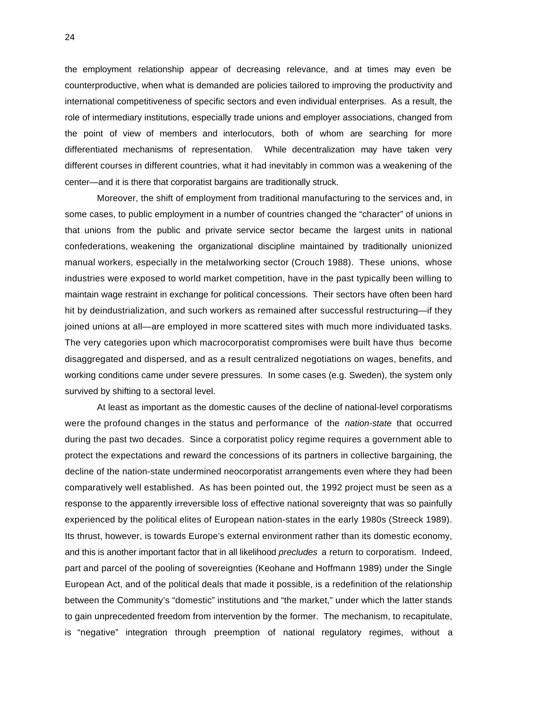the employment relationship appear of decreasing relevance, and at times may even be counterproductive, when what is demanded are policies tailored to improving the productivity and international competitiveness of specific sectors and even individual enterprises. As a result, the role of intermediary institutions, especially trade unions and employer associations, changed from the point of view of members and interlocutors, both of whom are searching for more differentiated mechanisms of representation. While decentralization may have taken very different courses in different countries, what it had inevitably in common was a weakening of the center—and it is there that corporatist bargains are traditionally struck.

Moreover, the shift of employment from traditional manufacturing to the services and, in some cases, to public employment in a number of countries changed the "character" of unions in that unions from the public and private service sector became the largest units in national confederations, weakening the organizational discipline maintained by traditionally unionized manual workers, especially in the metalworking sector (Crouch 1988). These unions, whose industries were exposed to world market competition, have in the past typically been willing to maintain wage restraint in exchange for political concessions. Their sectors have often been hard hit by deindustrialization, and such workers as remained after successful restructuring—if they joined unions at all—are employed in more scattered sites with much more individuated tasks. The very categories upon which macrocorporatist compromises were built have thus become disaggregated and dispersed, and as a result centralized negotiations on wages, benefits, and working conditions came under severe pressures. In some cases (e.g. Sweden), the system only survived by shifting to a sectoral level.

At least as important as the domestic causes of the decline of national-level corporatisms were the profound changes in the status and performance of the *nation-state* that occurred during the past two decades. Since a corporatist policy regime requires a government able to protect the expectations and reward the concessions of its partners in collective bargaining, the decline of the nation-state undermined neocorporatist arrangements even where they had been comparatively well established. As has been pointed out, the 1992 project must be seen as a response to the apparently irreversible loss of effective national sovereignty that was so painfully experienced by the political elites of European nation-states in the early 1980s (Streeck 1989). Its thrust, however, is towards Europe's external environment rather than its domestic economy, and this is another important factor that in all likelihood *precludes* a return to corporatism. Indeed, part and parcel of the pooling of sovereignties (Keohane and Hoffmann 1989) under the Single European Act, and of the political deals that made it possible, is a redefinition of the relationship between the Community's "domestic" institutions and "the market," under which the latter stands to gain unprecedented freedom from intervention by the former. The mechanism, to recapitulate, is "negative" integration through preemption of national regulatory regimes, without a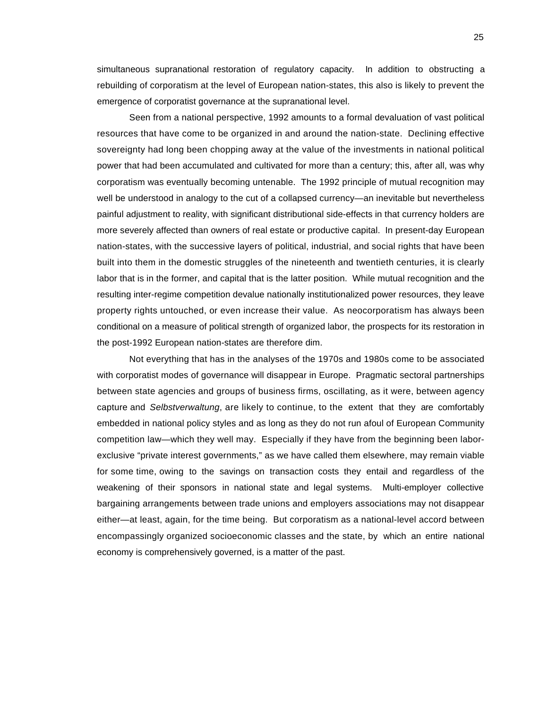simultaneous supranational restoration of regulatory capacity. In addition to obstructing a rebuilding of corporatism at the level of European nation-states, this also is likely to prevent the emergence of corporatist governance at the supranational level.

Seen from a national perspective, 1992 amounts to a formal devaluation of vast political resources that have come to be organized in and around the nation-state. Declining effective sovereignty had long been chopping away at the value of the investments in national political power that had been accumulated and cultivated for more than a century; this, after all, was why corporatism was eventually becoming untenable. The 1992 principle of mutual recognition may well be understood in analogy to the cut of a collapsed currency—an inevitable but nevertheless painful adjustment to reality, with significant distributional side-effects in that currency holders are more severely affected than owners of real estate or productive capital. In present-day European nation-states, with the successive layers of political, industrial, and social rights that have been built into them in the domestic struggles of the nineteenth and twentieth centuries, it is clearly labor that is in the former, and capital that is the latter position. While mutual recognition and the resulting inter-regime competition devalue nationally institutionalized power resources, they leave property rights untouched, or even increase their value. As neocorporatism has always been conditional on a measure of political strength of organized labor, the prospects for its restoration in the post-1992 European nation-states are therefore dim.

Not everything that has in the analyses of the 1970s and 1980s come to be associated with corporatist modes of governance will disappear in Europe. Pragmatic sectoral partnerships between state agencies and groups of business firms, oscillating, as it were, between agency capture and *Selbstverwaltung*, are likely to continue, to the extent that they are comfortably embedded in national policy styles and as long as they do not run afoul of European Community competition law—which they well may. Especially if they have from the beginning been laborexclusive "private interest governments," as we have called them elsewhere, may remain viable for some time, owing to the savings on transaction costs they entail and regardless of the weakening of their sponsors in national state and legal systems. Multi-employer collective bargaining arrangements between trade unions and employers associations may not disappear either—at least, again, for the time being. But corporatism as a national-level accord between encompassingly organized socioeconomic classes and the state, by which an entire national economy is comprehensively governed, is a matter of the past.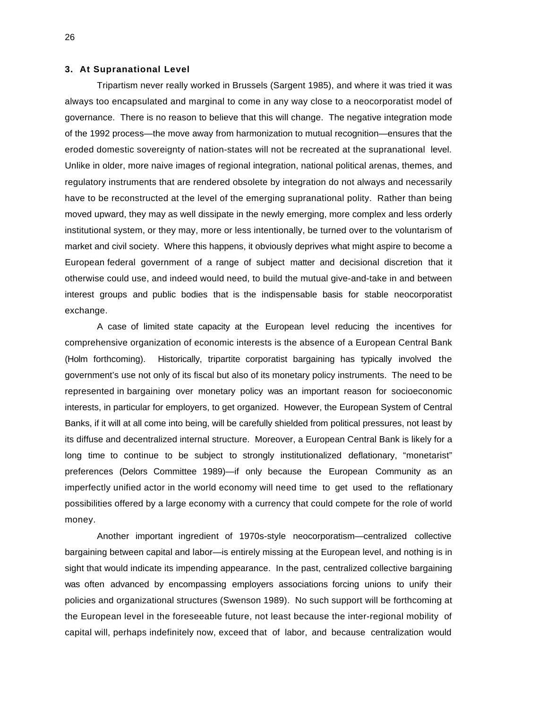## **3. At Supranational Level**

Tripartism never really worked in Brussels (Sargent 1985), and where it was tried it was always too encapsulated and marginal to come in any way close to a neocorporatist model of governance. There is no reason to believe that this will change. The negative integration mode of the 1992 process—the move away from harmonization to mutual recognition—ensures that the eroded domestic sovereignty of nation-states will not be recreated at the supranational level. Unlike in older, more naive images of regional integration, national political arenas, themes, and regulatory instruments that are rendered obsolete by integration do not always and necessarily have to be reconstructed at the level of the emerging supranational polity. Rather than being moved upward, they may as well dissipate in the newly emerging, more complex and less orderly institutional system, or they may, more or less intentionally, be turned over to the voluntarism of market and civil society. Where this happens, it obviously deprives what might aspire to become a European federal government of a range of subject matter and decisional discretion that it otherwise could use, and indeed would need, to build the mutual give-and-take in and between interest groups and public bodies that is the indispensable basis for stable neocorporatist exchange.

A case of limited state capacity at the European level reducing the incentives for comprehensive organization of economic interests is the absence of a European Central Bank (Holm forthcoming). Historically, tripartite corporatist bargaining has typically involved the government's use not only of its fiscal but also of its monetary policy instruments. The need to be represented in bargaining over monetary policy was an important reason for socioeconomic interests, in particular for employers, to get organized. However, the European System of Central Banks, if it will at all come into being, will be carefully shielded from political pressures, not least by its diffuse and decentralized internal structure. Moreover, a European Central Bank is likely for a long time to continue to be subject to strongly institutionalized deflationary, "monetarist" preferences (Delors Committee 1989)—if only because the European Community as an imperfectly unified actor in the world economy will need time to get used to the reflationary possibilities offered by a large economy with a currency that could compete for the role of world money.

Another important ingredient of 1970s-style neocorporatism—centralized collective bargaining between capital and labor—is entirely missing at the European level, and nothing is in sight that would indicate its impending appearance. In the past, centralized collective bargaining was often advanced by encompassing employers associations forcing unions to unify their policies and organizational structures (Swenson 1989). No such support will be forthcoming at the European level in the foreseeable future, not least because the inter-regional mobility of capital will, perhaps indefinitely now, exceed that of labor, and because centralization would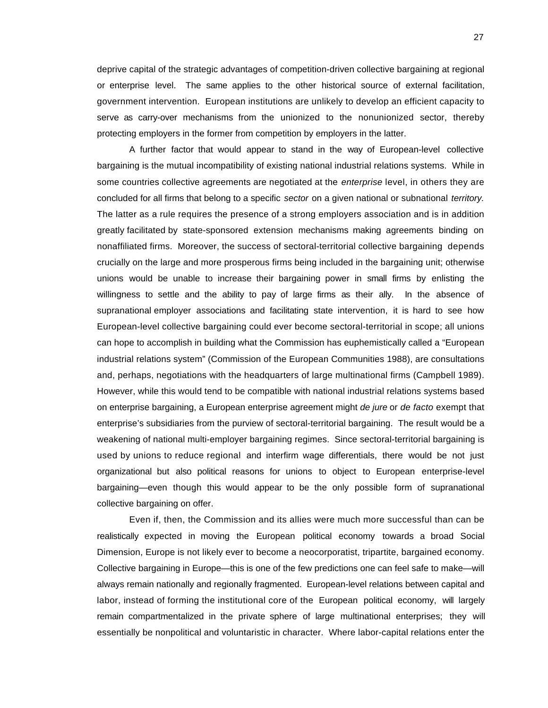deprive capital of the strategic advantages of competition-driven collective bargaining at regional or enterprise level. The same applies to the other historical source of external facilitation, government intervention. European institutions are unlikely to develop an efficient capacity to serve as carry-over mechanisms from the unionized to the nonunionized sector, thereby protecting employers in the former from competition by employers in the latter.

A further factor that would appear to stand in the way of European-level collective bargaining is the mutual incompatibility of existing national industrial relations systems. While in some countries collective agreements are negotiated at the *enterprise* level, in others they are concluded for all firms that belong to a specific *sector* on a given national or subnational *territory.* The latter as a rule requires the presence of a strong employers association and is in addition greatly facilitated by state-sponsored extension mechanisms making agreements binding on nonaffiliated firms. Moreover, the success of sectoral-territorial collective bargaining depends crucially on the large and more prosperous firms being included in the bargaining unit; otherwise unions would be unable to increase their bargaining power in small firms by enlisting the willingness to settle and the ability to pay of large firms as their ally. In the absence of supranational employer associations and facilitating state intervention, it is hard to see how European-level collective bargaining could ever become sectoral-territorial in scope; all unions can hope to accomplish in building what the Commission has euphemistically called a "European industrial relations system" (Commission of the European Communities 1988), are consultations and, perhaps, negotiations with the headquarters of large multinational firms (Campbell 1989). However, while this would tend to be compatible with national industrial relations systems based on enterprise bargaining, a European enterprise agreement might *de jure* or *de facto* exempt that enterprise's subsidiaries from the purview of sectoral-territorial bargaining. The result would be a weakening of national multi-employer bargaining regimes. Since sectoral-territorial bargaining is used by unions to reduce regional and interfirm wage differentials, there would be not just organizational but also political reasons for unions to object to European enterprise-level bargaining—even though this would appear to be the only possible form of supranational collective bargaining on offer.

Even if, then, the Commission and its allies were much more successful than can be realistically expected in moving the European political economy towards a broad Social Dimension, Europe is not likely ever to become a neocorporatist, tripartite, bargained economy. Collective bargaining in Europe—this is one of the few predictions one can feel safe to make—will always remain nationally and regionally fragmented. European-level relations between capital and labor, instead of forming the institutional core of the European political economy, will largely remain compartmentalized in the private sphere of large multinational enterprises; they will essentially be nonpolitical and voluntaristic in character. Where labor-capital relations enter the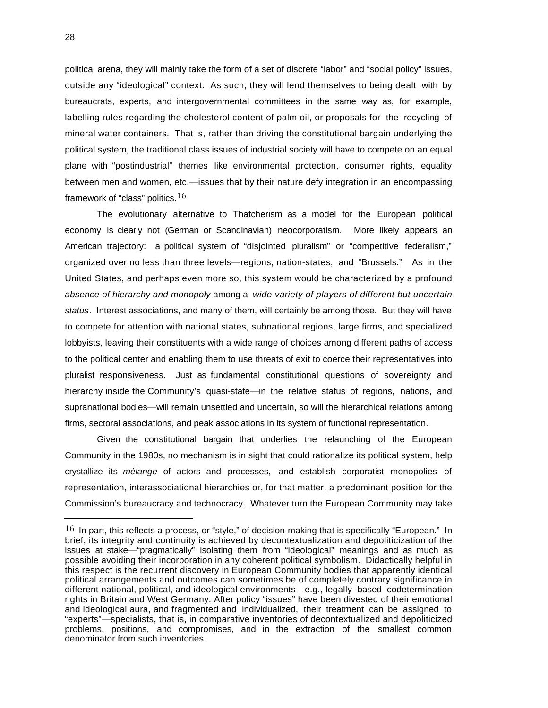political arena, they will mainly take the form of a set of discrete "labor" and "social policy" issues, outside any "ideological" context. As such, they will lend themselves to being dealt with by bureaucrats, experts, and intergovernmental committees in the same way as, for example, labelling rules regarding the cholesterol content of palm oil, or proposals for the recycling of mineral water containers. That is, rather than driving the constitutional bargain underlying the political system, the traditional class issues of industrial society will have to compete on an equal plane with "postindustrial" themes like environmental protection, consumer rights, equality between men and women, etc.—issues that by their nature defy integration in an encompassing framework of "class" politics.  $16$ 

The evolutionary alternative to Thatcherism as a model for the European political economy is clearly not (German or Scandinavian) neocorporatism. More likely appears an American trajectory: a political system of "disjointed pluralism" or "competitive federalism," organized over no less than three levels—regions, nation-states, and "Brussels." As in the United States, and perhaps even more so, this system would be characterized by a profound *absence of hierarchy and monopoly* among a *wide variety of players of different but uncertain status*. Interest associations, and many of them, will certainly be among those. But they will have to compete for attention with national states, subnational regions, large firms, and specialized lobbyists, leaving their constituents with a wide range of choices among different paths of access to the political center and enabling them to use threats of exit to coerce their representatives into pluralist responsiveness. Just as fundamental constitutional questions of sovereignty and hierarchy inside the Community's quasi-state—in the relative status of regions, nations, and supranational bodies—will remain unsettled and uncertain, so will the hierarchical relations among firms, sectoral associations, and peak associations in its system of functional representation.

Given the constitutional bargain that underlies the relaunching of the European Community in the 1980s, no mechanism is in sight that could rationalize its political system, help crystallize its *mélange* of actors and processes, and establish corporatist monopolies of representation, interassociational hierarchies or, for that matter, a predominant position for the Commission's bureaucracy and technocracy. Whatever turn the European Community may take

i

 $16$  In part, this reflects a process, or "style," of decision-making that is specifically "European." In brief, its integrity and continuity is achieved by decontextualization and depoliticization of the issues at stake—"pragmatically" isolating them from "ideological" meanings and as much as possible avoiding their incorporation in any coherent political symbolism. Didactically helpful in this respect is the recurrent discovery in European Community bodies that apparently identical political arrangements and outcomes can sometimes be of completely contrary significance in different national, political, and ideological environments—e.g., legally based codetermination rights in Britain and West Germany. After policy "issues" have been divested of their emotional and ideological aura, and fragmented and individualized, their treatment can be assigned to "experts"—specialists, that is, in comparative inventories of decontextualized and depoliticized problems, positions, and compromises, and in the extraction of the smallest common denominator from such inventories.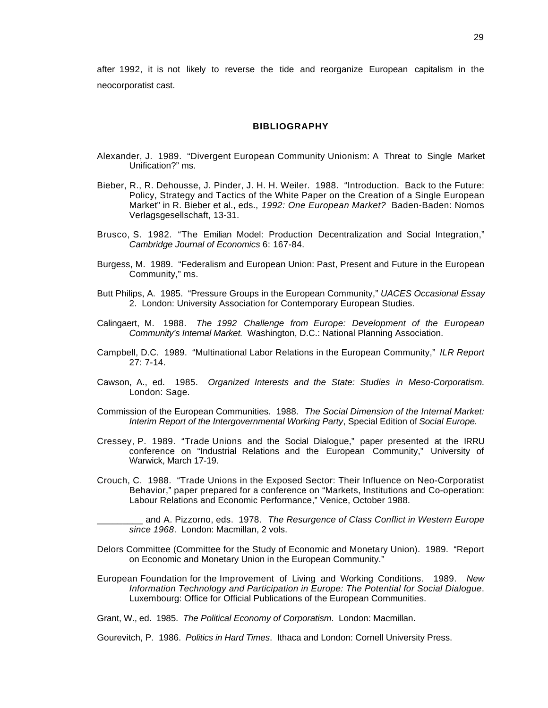after 1992, it is not likely to reverse the tide and reorganize European capitalism in the neocorporatist cast.

#### **BIBLIOGRAPHY**

- Alexander, J. 1989. "Divergent European Community Unionism: A Threat to Single Market Unification?" ms.
- Bieber, R., R. Dehousse, J. Pinder, J. H. H. Weiler. 1988. "Introduction. Back to the Future: Policy, Strategy and Tactics of the White Paper on the Creation of a Single European Market" in R. Bieber et al., eds., *1992: One European Market?* Baden-Baden: Nomos Verlagsgesellschaft, 13-31.
- Brusco, S. 1982. "The Emilian Model: Production Decentralization and Social Integration," *Cambridge Journal of Economics* 6: 167-84.
- Burgess, M. 1989. "Federalism and European Union: Past, Present and Future in the European Community," ms.
- Butt Philips, A. 1985. "Pressure Groups in the European Community," *UACES Occasional Essay* 2. London: University Association for Contemporary European Studies.
- Calingaert, M. 1988. *The 1992 Challenge from Europe: Development of the European Community's Internal Market.* Washington, D.C.: National Planning Association.
- Campbell, D.C. 1989. "Multinational Labor Relations in the European Community," *ILR Report* 27: 7-14.
- Cawson, A., ed. 1985. *Organized Interests and the State: Studies in Meso-Corporatism*. London: Sage.
- Commission of the European Communities. 1988. *The Social Dimension of the Internal Market: Interim Report of the Intergovernmental Working Party*, Special Edition of *Social Europe.*
- Cressey, P. 1989. "Trade Unions and the Social Dialogue," paper presented at the IRRU conference on "Industrial Relations and the European Community," University of Warwick, March 17-19.
- Crouch, C. 1988. "Trade Unions in the Exposed Sector: Their Influence on Neo-Corporatist Behavior," paper prepared for a conference on "Markets, Institutions and Co-operation: Labour Relations and Economic Performance," Venice, October 1988.

\_\_\_\_\_\_\_\_\_ and A. Pizzorno, eds. 1978. *The Resurgence of Class Conflict in Western Europe since 1968*. London: Macmillan, 2 vols.

- Delors Committee (Committee for the Study of Economic and Monetary Union). 1989. "Report on Economic and Monetary Union in the European Community."
- European Foundation for the Improvement of Living and Working Conditions. 1989. *New Information Technology and Participation in Europe: The Potential for Social Dialogue*. Luxembourg: Office for Official Publications of the European Communities.

Grant, W., ed. 1985. *The Political Economy of Corporatism*. London: Macmillan.

Gourevitch, P. 1986. *Politics in Hard Times*. Ithaca and London: Cornell University Press.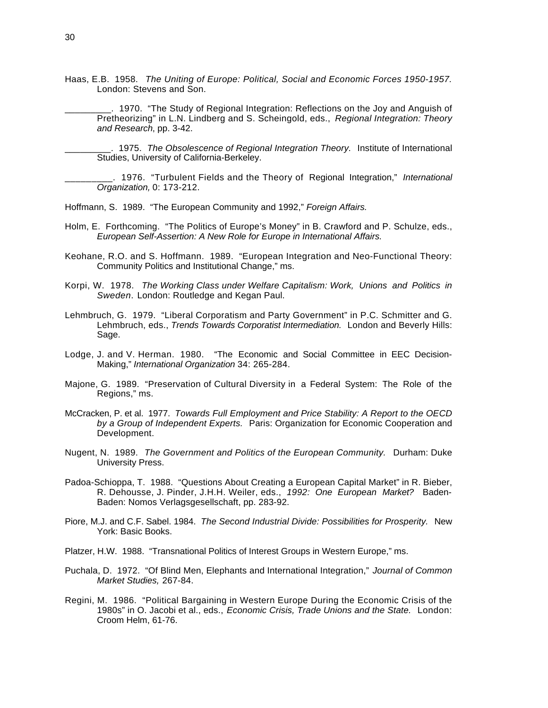- Haas, E.B. 1958. *The Uniting of Europe: Political, Social and Economic Forces 1950-1957.* London: Stevens and Son.
	- \_\_\_\_\_\_\_\_\_. 1970. "The Study of Regional Integration: Reflections on the Joy and Anguish of Pretheorizing" in L.N. Lindberg and S. Scheingold, eds., *Regional Integration: Theory and Research*, pp. 3-42.

\_\_\_\_\_\_\_\_\_. 1975. *The Obsolescence of Regional Integration Theory.* Institute of International Studies, University of California-Berkeley.

\_\_\_\_\_\_\_\_\_. 1976. "Turbulent Fields and the Theory of Regional Integration," *International Organization,* 0: 173-212.

Hoffmann, S. 1989. "The European Community and 1992," *Foreign Affairs.*

- Holm, E. Forthcoming. "The Politics of Europe's Money" in B. Crawford and P. Schulze, eds., *European Self-Assertion: A New Role for Europe in International Affairs.*
- Keohane, R.O. and S. Hoffmann. 1989. "European Integration and Neo-Functional Theory: Community Politics and Institutional Change," ms.
- Korpi, W. 1978. *The Working Class under Welfare Capitalism: Work, Unions and Politics in Sweden*. London: Routledge and Kegan Paul.
- Lehmbruch, G. 1979. "Liberal Corporatism and Party Government" in P.C. Schmitter and G. Lehmbruch, eds., *Trends Towards Corporatist Intermediation.* London and Beverly Hills: Sage.
- Lodge, J. and V. Herman. 1980. "The Economic and Social Committee in EEC Decision-Making," *International Organization* 34: 265-284.
- Majone, G. 1989. "Preservation of Cultural Diversity in a Federal System: The Role of the Regions," ms.
- McCracken, P. et al. 1977. *Towards Full Employment and Price Stability: A Report to the OECD by a Group of Independent Experts.* Paris: Organization for Economic Cooperation and Development.
- Nugent, N. 1989. *The Government and Politics of the European Community.* Durham: Duke University Press.
- Padoa-Schioppa, T. 1988. "Questions About Creating a European Capital Market" in R. Bieber, R. Dehousse, J. Pinder, J.H.H. Weiler, eds., *1992: One European Market?* Baden-Baden: Nomos Verlagsgesellschaft, pp. 283-92.
- Piore, M.J. and C.F. Sabel. 1984. *The Second Industrial Divide: Possibilities for Prosperity.* New York: Basic Books.
- Platzer, H.W. 1988. "Transnational Politics of Interest Groups in Western Europe," ms.
- Puchala, D. 1972. "Of Blind Men, Elephants and International Integration," *Journal of Common Market Studies,* 267-84.
- Regini, M. 1986. "Political Bargaining in Western Europe During the Economic Crisis of the 1980s" in O. Jacobi et al., eds., *Economic Crisis, Trade Unions and the State.* London: Croom Helm, 61-76.